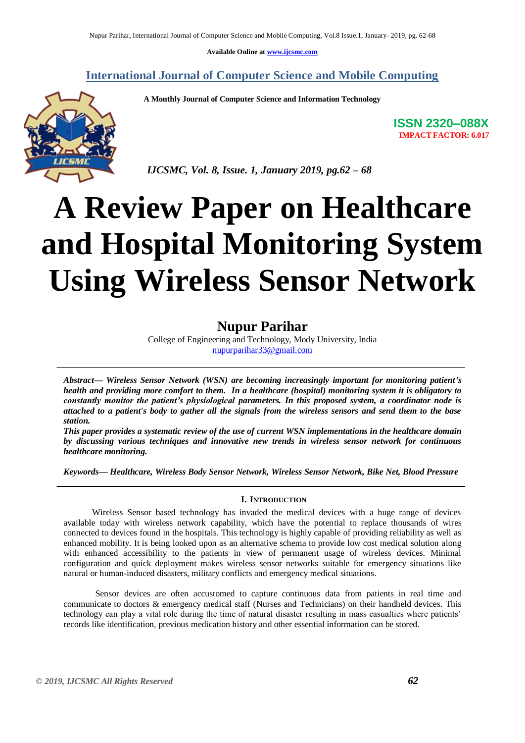**Available Online at [www.ijcsmc.com](http://www.ijcsmc.com/)**

**International Journal of Computer Science and Mobile Computing**

 **A Monthly Journal of Computer Science and Information Technology**



**ISSN 2320–088X IMPACT FACTOR: 6.017**

 *IJCSMC, Vol. 8, Issue. 1, January 2019, pg.62 – 68*

# **A Review Paper on Healthcare and Hospital Monitoring System Using Wireless Sensor Network**

### **Nupur Parihar**

College of Engineering and Technology, Mody University, India [nupurparihar33@gmail.com](mailto:nupurparihar33@gmail.com)

*Abstract— Wireless Sensor Network (WSN) are becoming increasingly important for monitoring patient's health and providing more comfort to them. In a healthcare (hospital) monitoring system it is obligatory to constantly monitor the patient's physiological parameters. In this proposed system, a coordinator node is attached to a patient's body to gather all the signals from the wireless sensors and send them to the base station.*

*This paper provides a systematic review of the use of current WSN implementations in the healthcare domain by discussing various techniques and innovative new trends in wireless sensor network for continuous healthcare monitoring.*

*Keywords— Healthcare, Wireless Body Sensor Network, Wireless Sensor Network, Bike Net, Blood Pressure*

#### **I. INTRODUCTION**

Wireless Sensor based technology has invaded the medical devices with a huge range of devices available today with wireless network capability, which have the potential to replace thousands of wires connected to devices found in the hospitals. This technology is highly capable of providing reliability as well as enhanced mobility. It is being looked upon as an alternative schema to provide low cost medical solution along with enhanced accessibility to the patients in view of permanent usage of wireless devices. Minimal configuration and quick deployment makes wireless sensor networks suitable for emergency situations like natural or human-induced disasters, military conflicts and emergency medical situations.

Sensor devices are often accustomed to capture continuous data from patients in real time and communicate to doctors & emergency medical staff (Nurses and Technicians) on their handheld devices. This technology can play a vital role during the time of natural disaster resulting in mass casualties where patients' records like identification, previous medication history and other essential information can be stored.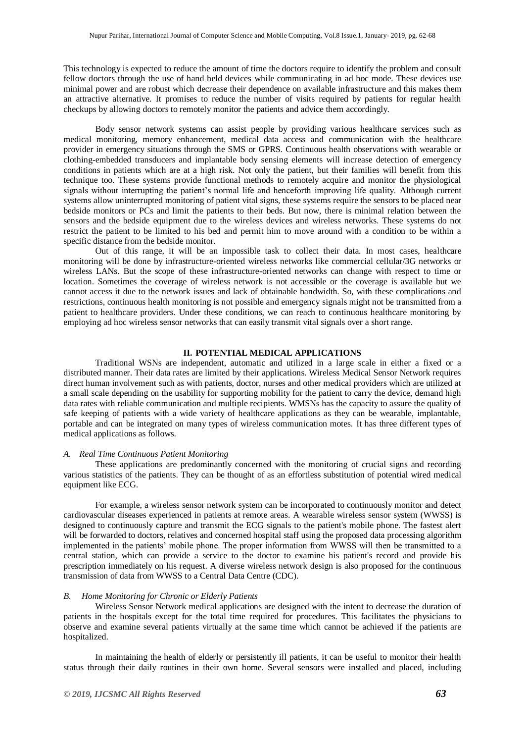This technology is expected to reduce the amount of time the doctors require to identify the problem and consult fellow doctors through the use of hand held devices while communicating in ad hoc mode. These devices use minimal power and are robust which decrease their dependence on available infrastructure and this makes them an attractive alternative. It promises to reduce the number of visits required by patients for regular health checkups by allowing doctors to remotely monitor the patients and advice them accordingly.

Body sensor network systems can assist people by providing various healthcare services such as medical monitoring, memory enhancement, medical data access and communication with the healthcare provider in emergency situations through the SMS or GPRS. Continuous health observations with wearable or clothing-embedded transducers and implantable body sensing elements will increase detection of emergency conditions in patients which are at a high risk. Not only the patient, but their families will benefit from this technique too. These systems provide functional methods to remotely acquire and monitor the physiological signals without interrupting the patient's normal life and henceforth improving life quality. Although current systems allow uninterrupted monitoring of patient vital signs, these systems require the sensors to be placed near bedside monitors or PCs and limit the patients to their beds. But now, there is minimal relation between the sensors and the bedside equipment due to the wireless devices and wireless networks. These systems do not restrict the patient to be limited to his bed and permit him to move around with a condition to be within a specific distance from the bedside monitor.

Out of this range, it will be an impossible task to collect their data. In most cases, healthcare monitoring will be done by infrastructure-oriented wireless networks like commercial cellular/3G networks or wireless LANs. But the scope of these infrastructure-oriented networks can change with respect to time or location. Sometimes the coverage of wireless network is not accessible or the coverage is available but we cannot access it due to the network issues and lack of obtainable bandwidth. So, with these complications and restrictions, continuous health monitoring is not possible and emergency signals might not be transmitted from a patient to healthcare providers. Under these conditions, we can reach to continuous healthcare monitoring by employing ad hoc wireless sensor networks that can easily transmit vital signals over a short range.

#### **II. POTENTIAL MEDICAL APPLICATIONS**

Traditional WSNs are independent, automatic and utilized in a large scale in either a fixed or a distributed manner. Their data rates are limited by their applications. Wireless Medical Sensor Network requires direct human involvement such as with patients, doctor, nurses and other medical providers which are utilized at a small scale depending on the usability for supporting mobility for the patient to carry the device, demand high data rates with reliable communication and multiple recipients. WMSNs has the capacity to assure the quality of safe keeping of patients with a wide variety of healthcare applications as they can be wearable, implantable, portable and can be integrated on many types of wireless communication motes. It has three different types of medical applications as follows.

#### *A. Real Time Continuous Patient Monitoring*

These applications are predominantly concerned with the monitoring of crucial signs and recording various statistics of the patients. They can be thought of as an effortless substitution of potential wired medical equipment like ECG.

For example, a wireless sensor network system can be incorporated to continuously monitor and detect cardiovascular diseases experienced in patients at remote areas. A wearable wireless sensor system (WWSS) is designed to continuously capture and transmit the ECG signals to the patient's mobile phone. The fastest alert will be forwarded to doctors, relatives and concerned hospital staff using the proposed data processing algorithm implemented in the patients' mobile phone. The proper information from WWSS will then be transmitted to a central station, which can provide a service to the doctor to examine his patient's record and provide his prescription immediately on his request. A diverse wireless network design is also proposed for the continuous transmission of data from WWSS to a Central Data Centre (CDC).

#### *B. Home Monitoring for Chronic or Elderly Patients*

Wireless Sensor Network medical applications are designed with the intent to decrease the duration of patients in the hospitals except for the total time required for procedures. This facilitates the physicians to observe and examine several patients virtually at the same time which cannot be achieved if the patients are hospitalized.

In maintaining the health of elderly or persistently ill patients, it can be useful to monitor their health status through their daily routines in their own home. Several sensors were installed and placed, including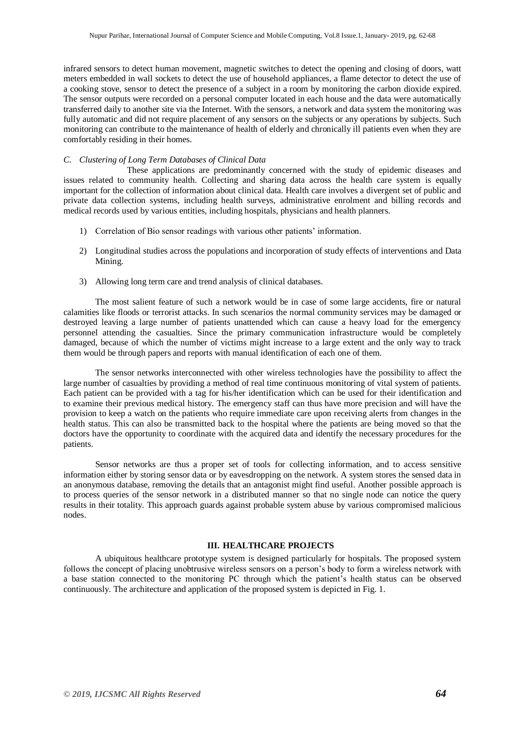infrared sensors to detect human movement, magnetic switches to detect the opening and closing of doors, watt meters embedded in wall sockets to detect the use of household appliances, a flame detector to detect the use of a cooking stove, sensor to detect the presence of a subject in a room by monitoring the carbon dioxide expired. The sensor outputs were recorded on a personal computer located in each house and the data were automatically transferred daily to another site via the Internet. With the sensors, a network and data system the monitoring was fully automatic and did not require placement of any sensors on the subjects or any operations by subjects. Such monitoring can contribute to the maintenance of health of elderly and chronically ill patients even when they are comfortably residing in their homes.

#### *C. Clustering of Long Term Databases of Clinical Data*

These applications are predominantly concerned with the study of epidemic diseases and issues related to community health. Collecting and sharing data across the health care system is equally important for the collection of information about clinical data. Health care involves a divergent set of public and private data collection systems, including health surveys, administrative enrolment and billing records and medical records used by various entities, including hospitals, physicians and health planners.

- 1) Correlation of Bio sensor readings with various other patients' information.
- 2) Longitudinal studies across the populations and incorporation of study effects of interventions and Data Mining.
- 3) Allowing long term care and trend analysis of clinical databases.

The most salient feature of such a network would be in case of some large accidents, fire or natural calamities like floods or terrorist attacks. In such scenarios the normal community services may be damaged or destroyed leaving a large number of patients unattended which can cause a heavy load for the emergency personnel attending the casualties. Since the primary communication infrastructure would be completely damaged, because of which the number of victims might increase to a large extent and the only way to track them would be through papers and reports with manual identification of each one of them.

The sensor networks interconnected with other wireless technologies have the possibility to affect the large number of casualties by providing a method of real time continuous monitoring of vital system of patients. Each patient can be provided with a tag for his/her identification which can be used for their identification and to examine their previous medical history. The emergency staff can thus have more precision and will have the provision to keep a watch on the patients who require immediate care upon receiving alerts from changes in the health status. This can also be transmitted back to the hospital where the patients are being moved so that the doctors have the opportunity to coordinate with the acquired data and identify the necessary procedures for the patients.

Sensor networks are thus a proper set of tools for collecting information, and to access sensitive information either by storing sensor data or by eavesdropping on the network. A system stores the sensed data in an anonymous database, removing the details that an antagonist might find useful. Another possible approach is to process queries of the sensor network in a distributed manner so that no single node can notice the query results in their totality. This approach guards against probable system abuse by various compromised malicious nodes.

#### **III. HEALTHCARE PROJECTS**

A ubiquitous healthcare prototype system is designed particularly for hospitals. The proposed system follows the concept of placing unobtrusive wireless sensors on a person's body to form a wireless network with a base station connected to the monitoring PC through which the patient's health status can be observed continuously. The architecture and application of the proposed system is depicted in Fig. 1.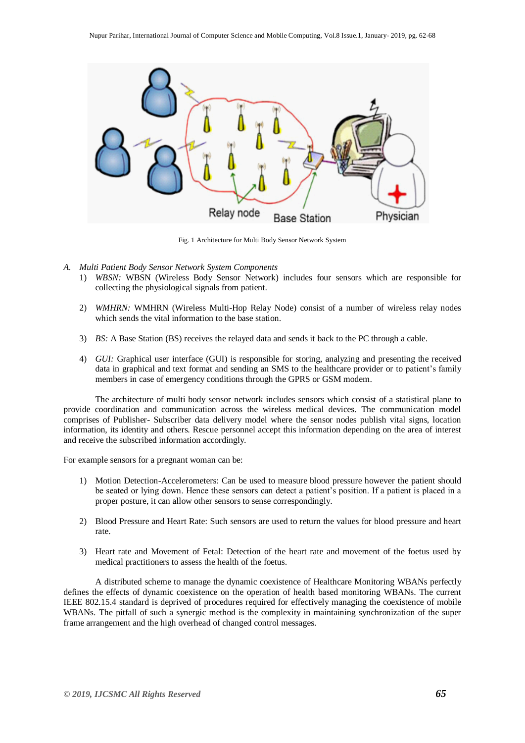

Fig. 1 Architecture for Multi Body Sensor Network System

- *A. Multi Patient Body Sensor Network System Components*
	- 1) *WBSN:* WBSN (Wireless Body Sensor Network) includes four sensors which are responsible for collecting the physiological signals from patient.
	- 2) *WMHRN:* WMHRN (Wireless Multi-Hop Relay Node) consist of a number of wireless relay nodes which sends the vital information to the base station.
	- 3) *BS:* A Base Station (BS) receives the relayed data and sends it back to the PC through a cable.
	- 4) *GUI:* Graphical user interface (GUI) is responsible for storing, analyzing and presenting the received data in graphical and text format and sending an SMS to the healthcare provider or to patient's family members in case of emergency conditions through the GPRS or GSM modem.

The architecture of multi body sensor network includes sensors which consist of a statistical plane to provide coordination and communication across the wireless medical devices. The communication model comprises of Publisher- Subscriber data delivery model where the sensor nodes publish vital signs, location information, its identity and others. Rescue personnel accept this information depending on the area of interest and receive the subscribed information accordingly.

For example sensors for a pregnant woman can be:

- 1) Motion Detection-Accelerometers: Can be used to measure blood pressure however the patient should be seated or lying down. Hence these sensors can detect a patient's position. If a patient is placed in a proper posture, it can allow other sensors to sense correspondingly.
- 2) Blood Pressure and Heart Rate: Such sensors are used to return the values for blood pressure and heart rate.
- 3) Heart rate and Movement of Fetal: Detection of the heart rate and movement of the foetus used by medical practitioners to assess the health of the foetus.

A distributed scheme to manage the dynamic coexistence of Healthcare Monitoring WBANs perfectly defines the effects of dynamic coexistence on the operation of health based monitoring WBANs. The current IEEE 802.15.4 standard is deprived of procedures required for effectively managing the coexistence of mobile WBANs. The pitfall of such a synergic method is the complexity in maintaining synchronization of the super frame arrangement and the high overhead of changed control messages.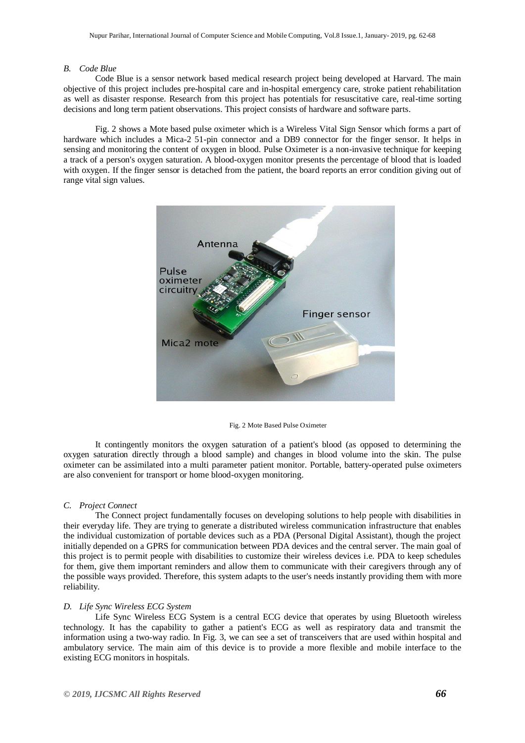#### *B. Code Blue*

Code Blue is a sensor network based medical research project being developed at Harvard. The main objective of this project includes pre-hospital care and in-hospital emergency care, stroke patient rehabilitation as well as disaster response. Research from this project has potentials for resuscitative care, real-time sorting decisions and long term patient observations. This project consists of hardware and software parts.

Fig. 2 shows a Mote based pulse oximeter which is a Wireless Vital Sign Sensor which forms a part of hardware which includes a Mica-2 51-pin connector and a DB9 connector for the finger sensor. It helps in sensing and monitoring the content of oxygen in blood. Pulse Oximeter is a non-invasive technique for keeping a track of a person's oxygen saturation. A blood-oxygen monitor presents the percentage of blood that is loaded with oxygen. If the finger sensor is detached from the patient, the board reports an error condition giving out of range vital sign values.



Fig. 2 Mote Based Pulse Oximeter

It contingently monitors the oxygen saturation of a patient's blood (as opposed to determining the oxygen saturation directly through a blood sample) and changes in blood volume into the skin. The pulse oximeter can be assimilated into a multi parameter patient monitor. Portable, battery-operated pulse oximeters are also convenient for transport or home blood-oxygen monitoring.

#### *C. Project Connect*

The Connect project fundamentally focuses on developing solutions to help people with disabilities in their everyday life. They are trying to generate a distributed wireless communication infrastructure that enables the individual customization of portable devices such as a PDA (Personal Digital Assistant), though the project initially depended on a GPRS for communication between PDA devices and the central server. The main goal of this project is to permit people with disabilities to customize their wireless devices i.e. PDA to keep schedules for them, give them important reminders and allow them to communicate with their caregivers through any of the possible ways provided. Therefore, this system adapts to the user's needs instantly providing them with more reliability.

#### *D. Life Sync Wireless ECG System*

Life Sync Wireless ECG System is a central ECG device that operates by using Bluetooth wireless technology. It has the capability to gather a patient's ECG as well as respiratory data and transmit the information using a two-way radio. In Fig. 3, we can see a set of transceivers that are used within hospital and ambulatory service. The main aim of this device is to provide a more flexible and mobile interface to the existing ECG monitors in hospitals.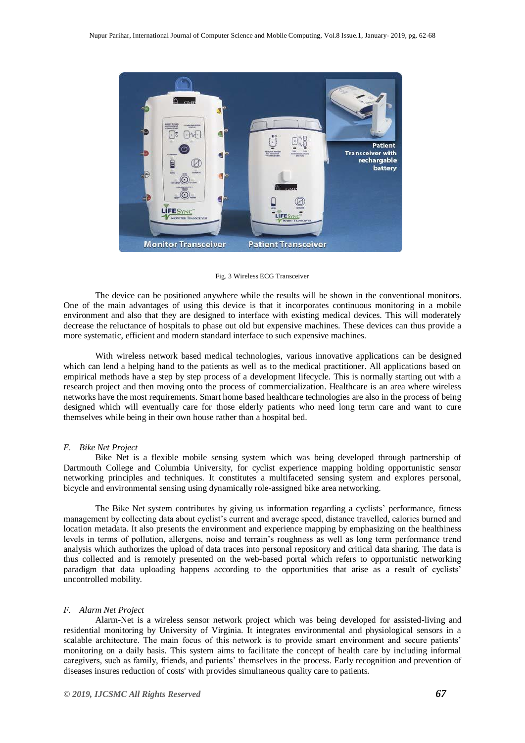

Fig. 3 Wireless ECG Transceiver

The device can be positioned anywhere while the results will be shown in the conventional monitors. One of the main advantages of using this device is that it incorporates continuous monitoring in a mobile environment and also that they are designed to interface with existing medical devices. This will moderately decrease the reluctance of hospitals to phase out old but expensive machines. These devices can thus provide a more systematic, efficient and modern standard interface to such expensive machines.

With wireless network based medical technologies, various innovative applications can be designed which can lend a helping hand to the patients as well as to the medical practitioner. All applications based on empirical methods have a step by step process of a development lifecycle. This is normally starting out with a research project and then moving onto the process of commercialization. Healthcare is an area where wireless networks have the most requirements. Smart home based healthcare technologies are also in the process of being designed which will eventually care for those elderly patients who need long term care and want to cure themselves while being in their own house rather than a hospital bed.

#### *E. Bike Net Project*

Bike Net is a flexible mobile sensing system which was being developed through partnership of Dartmouth College and Columbia University, for cyclist experience mapping holding opportunistic sensor networking principles and techniques. It constitutes a multifaceted sensing system and explores personal, bicycle and environmental sensing using dynamically role-assigned bike area networking.

The Bike Net system contributes by giving us information regarding a cyclists' performance, fitness management by collecting data about cyclist's current and average speed, distance travelled, calories burned and location metadata. It also presents the environment and experience mapping by emphasizing on the healthiness levels in terms of pollution, allergens, noise and terrain's roughness as well as long term performance trend analysis which authorizes the upload of data traces into personal repository and critical data sharing. The data is thus collected and is remotely presented on the web-based portal which refers to opportunistic networking paradigm that data uploading happens according to the opportunities that arise as a result of cyclists' uncontrolled mobility.

#### *F. Alarm Net Project*

Alarm-Net is a wireless sensor network project which was being developed for assisted-living and residential monitoring by University of Virginia. It integrates environmental and physiological sensors in a scalable architecture. The main focus of this network is to provide smart environment and secure patients' monitoring on a daily basis. This system aims to facilitate the concept of health care by including informal caregivers, such as family, friends, and patients' themselves in the process. Early recognition and prevention of diseases insures reduction of costs' with provides simultaneous quality care to patients.